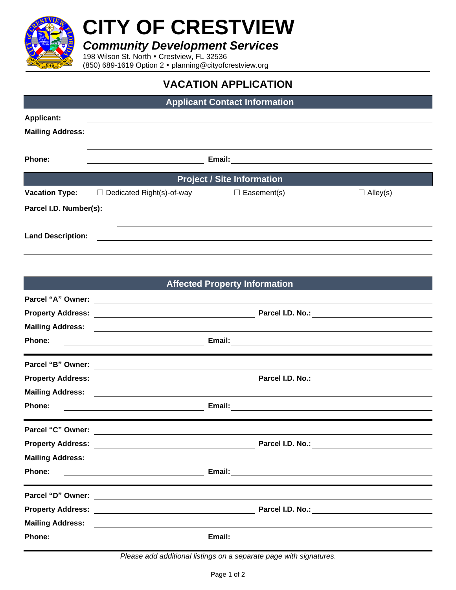

## **CITY OF CRESTVIEW**

*Community Development Services*

198 Wilson St. North . Crestview, FL 32536

(850) 689-1619 Option 2 planning@cityofcrestview.org

## **VACATION APPLICATION**

| <b>Applicant Contact Information</b> |                                                                                                                       |                                      |                 |  |  |
|--------------------------------------|-----------------------------------------------------------------------------------------------------------------------|--------------------------------------|-----------------|--|--|
| <b>Applicant:</b>                    |                                                                                                                       |                                      |                 |  |  |
|                                      |                                                                                                                       |                                      |                 |  |  |
|                                      |                                                                                                                       |                                      |                 |  |  |
| Phone:                               |                                                                                                                       |                                      |                 |  |  |
|                                      |                                                                                                                       | <b>Project / Site Information</b>    |                 |  |  |
| <b>Vacation Type:</b>                | $\Box$ Dedicated Right(s)-of-way                                                                                      | $\Box$ Easement(s)                   | $\Box$ Alley(s) |  |  |
| Parcel I.D. Number(s):               |                                                                                                                       |                                      |                 |  |  |
|                                      |                                                                                                                       |                                      |                 |  |  |
| <b>Land Description:</b>             |                                                                                                                       |                                      |                 |  |  |
|                                      |                                                                                                                       |                                      |                 |  |  |
|                                      |                                                                                                                       |                                      |                 |  |  |
|                                      |                                                                                                                       | <b>Affected Property Information</b> |                 |  |  |
|                                      |                                                                                                                       |                                      |                 |  |  |
|                                      |                                                                                                                       |                                      |                 |  |  |
|                                      |                                                                                                                       |                                      |                 |  |  |
| Phone:                               |                                                                                                                       |                                      |                 |  |  |
|                                      |                                                                                                                       |                                      |                 |  |  |
|                                      |                                                                                                                       |                                      |                 |  |  |
|                                      |                                                                                                                       |                                      |                 |  |  |
|                                      |                                                                                                                       |                                      |                 |  |  |
| Phone:                               |                                                                                                                       |                                      |                 |  |  |
| Parcel "C" Owner:                    |                                                                                                                       |                                      |                 |  |  |
|                                      |                                                                                                                       |                                      |                 |  |  |
| <b>Mailing Address:</b>              | <u> 1989 - Jan Barnett, fransk politiker (d. 1989)</u>                                                                |                                      |                 |  |  |
| Phone:                               |                                                                                                                       |                                      |                 |  |  |
|                                      |                                                                                                                       |                                      |                 |  |  |
|                                      |                                                                                                                       |                                      |                 |  |  |
|                                      |                                                                                                                       |                                      |                 |  |  |
| <b>Mailing Address:</b>              | <u> 1989 - John Stein, Amerikaansk politiker (* 1989)</u>                                                             |                                      |                 |  |  |
| Phone:                               | <u> 1989 - Johann Barn, mars ann an t-Amhain Aonaich an t-Aonaich an t-Aonaich an t-Aonaich an t-Aonaich an t-Aon</u> |                                      |                 |  |  |

*Please add additional listings on a separate page with signatures.*